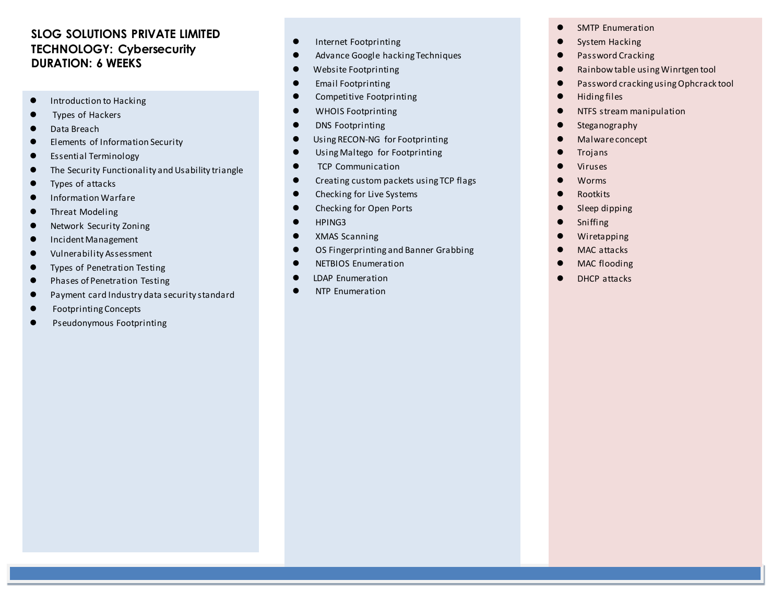## **SLOG SOLUTIONS PRIVATE LIMITED TECHNOLOGY: Cybersecurity DURATION: 6 WEEKS**

- Introduction to Hacking
- Types of Hackers
- Data Breach
- Elements of Information Security
- Essential Terminology
- **•** The Security Functionality and Usability triangle
- Types of attacks
- Information Warfare
- Threat Modeling
- **•** Network Security Zoning
- Incident Management
- Vulnerability Assessment
- **•** Types of Penetration Testing
- **•** Phases of Penetration Testing
- Payment card Industry data security standard
- Footprinting Concepts
- Pseudonymous Footprinting
- **•** Internet Footprinting
- Advance Google hacking Techniques
- Website Footprinting
- **•** Email Footprinting
- **•** Competitive Footprinting
- $\bullet$  WHOIS Footprinting
- **•** DNS Footprinting
- **Using RECON-NG** for Footprinting
- Using Maltego for Footprinting
- **TCP Communication**
- **•** Creating custom packets using TCP flags
- Checking for Live Systems
- Checking for Open Ports
- $\bullet$  HPING3
- **•** XMAS Scanning
- OS Fingerprinting and Banner Grabbing
- **•** NETBIOS Enumeration
- LDAP Enumeration
- **•** NTP Enumeration
- SMTP Enumeration
- System Hacking
- **•** Password Cracking
- Rainbow table using Winrtgen tool
- Password cracking using Ophcrack tool
- $\bullet$  Hiding files
- **•** NTFS stream manipulation
- **•** Steganography
- Malware concept
- **•** Trojans
- Viruses
- Worms
- Rootkits
- Sleep dipping
- **•** Sniffing
- **•** Wiretapping
- **O** MAC attacks
- MAC flooding
- DHCP attacks